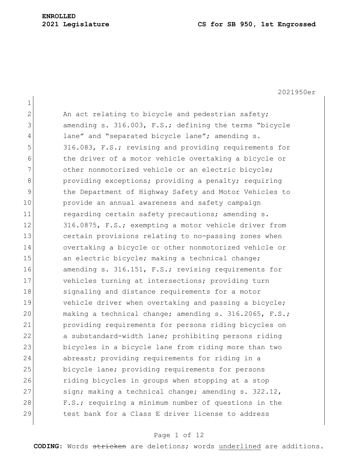2021950er 1 2 An act relating to bicycle and pedestrian safety; 3 amending s. 316.003, F.S.; defining the terms "bicycle 4 lane" and "separated bicycle lane"; amending s. 5 316.083, F.S.; revising and providing requirements for 6 the driver of a motor vehicle overtaking a bicycle or 7 other nonmotorized vehicle or an electric bicycle; 8 **b** providing exceptions; providing a penalty; requiring 9 10 12 the Department of Highway Safety and Motor Vehicles to 10 provide an annual awareness and safety campaign 11 regarding certain safety precautions; amending s. 12 316.0875, F.S.; exempting a motor vehicle driver from 13 certain provisions relating to no-passing zones when 14 overtaking a bicycle or other nonmotorized vehicle or 15 an electric bicycle; making a technical change; 16 amending s. 316.151, F.S.; revising requirements for 17 vehicles turning at intersections; providing turn 18 signaling and distance requirements for a motor 19 vehicle driver when overtaking and passing a bicycle; 20 making a technical change; amending s. 316.2065, F.S.; 21 providing requirements for persons riding bicycles on 22 a substandard-width lane; prohibiting persons riding 23 bicycles in a bicycle lane from riding more than two 24 abreast; providing requirements for riding in a 25 bicycle lane; providing requirements for persons 26 riding bicycles in groups when stopping at a stop 27 sign; making a technical change; amending s. 322.12, 28 F.S.; requiring a minimum number of questions in the 29 test bank for a Class E driver license to address

#### Page 1 of 12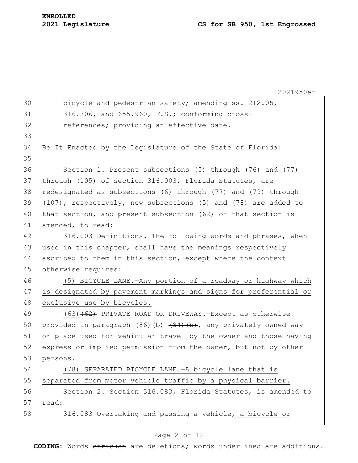|    | 2021950er                                                         |
|----|-------------------------------------------------------------------|
| 30 | bicycle and pedestrian safety; amending ss. 212.05,               |
| 31 | 316.306, and 655.960, F.S.; conforming cross-                     |
| 32 | references; providing an effective date.                          |
| 33 |                                                                   |
| 34 | Be It Enacted by the Legislature of the State of Florida:         |
| 35 |                                                                   |
| 36 | Section 1. Present subsections (5) through (76) and (77)          |
| 37 | through (105) of section 316.003, Florida Statutes, are           |
| 38 | redesignated as subsections (6) through (77) and (79) through     |
| 39 | $(107)$ , respectively, new subsections (5) and (78) are added to |
| 40 | that section, and present subsection (62) of that section is      |
| 41 | amended, to read:                                                 |
| 42 | 316.003 Definitions. The following words and phrases, when        |
| 43 | used in this chapter, shall have the meanings respectively        |
| 44 | ascribed to them in this section, except where the context        |
| 45 | otherwise requires:                                               |
| 46 | (5) BICYCLE LANE. - Any portion of a roadway or highway which     |
| 47 | is designated by pavement markings and signs for preferential or  |
| 48 | exclusive use by bicycles.                                        |
| 49 | $(63)$ $(62)$ PRIVATE ROAD OR DRIVEWAY.-Except as otherwise       |
| 50 | provided in paragraph (86) (b) (84) (b), any privately owned way  |
| 51 | or place used for vehicular travel by the owner and those having  |
| 52 | express or implied permission from the owner, but not by other    |
| 53 | persons.                                                          |
| 54 | (78) SEPARATED BICYCLE LANE. - A bicycle lane that is             |
| 55 | separated from motor vehicle traffic by a physical barrier.       |
| 56 | Section 2. Section 316.083, Florida Statutes, is amended to       |
| 57 | read:                                                             |
| 58 | 316.083 Overtaking and passing a vehicle, a bicycle or            |

# Page 2 of 12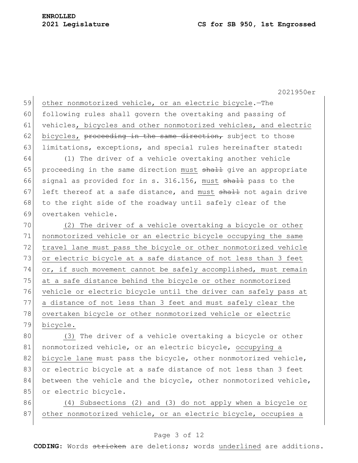59 other nonmotorized vehicle, or an electric bicycle.—The 60 following rules shall govern the overtaking and passing of 61 vehicles, bicycles and other nonmotorized vehicles, and electric 62 bicycles, proceeding in the same direction, subject to those 63 limitations, exceptions, and special rules hereinafter stated:

64 (1) The driver of a vehicle overtaking another vehicle 65 proceeding in the same direction must  $shath$  give an appropriate 66 signal as provided for in s. 316.156, must shall pass to the 67 left thereof at a safe distance, and must  $shall$  not again drive 68 to the right side of the roadway until safely clear of the 69 overtaken vehicle.

70 (2) The driver of a vehicle overtaking a bicycle or other 71 nonmotorized vehicle or an electric bicycle occupying the same 72 travel lane must pass the bicycle or other nonmotorized vehicle 73 or electric bicycle at a safe distance of not less than 3 feet 74 or, if such movement cannot be safely accomplished, must remain 75 at a safe distance behind the bicycle or other nonmotorized 76 vehicle or electric bicycle until the driver can safely pass at 77 a distance of not less than 3 feet and must safely clear the 78 overtaken bicycle or other nonmotorized vehicle or electric 79 bicycle.

80 (3) The driver of a vehicle overtaking a bicycle or other 81 nonmotorized vehicle, or an electric bicycle, occupying a 82 bicycle lane must pass the bicycle, other nonmotorized vehicle, 83 or electric bicycle at a safe distance of not less than 3 feet 84 between the vehicle and the bicycle, other nonmotorized vehicle, 85 or electric bicycle.

86 (4) Subsections (2) and (3) do not apply when a bicycle or 87 other nonmotorized vehicle, or an electric bicycle, occupies a

#### Page 3 of 12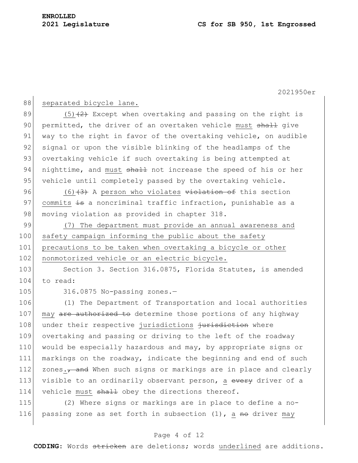| 88  | separated bicycle lane.                                                 |
|-----|-------------------------------------------------------------------------|
| 89  | $(5)$ $(2)$ Except when overtaking and passing on the right is          |
| 90  | permitted, the driver of an overtaken vehicle must shall give           |
| 91  | way to the right in favor of the overtaking vehicle, on audible         |
| 92  | signal or upon the visible blinking of the headlamps of the             |
| 93  | overtaking vehicle if such overtaking is being attempted at             |
| 94  | nighttime, and must shall not increase the speed of his or her          |
| 95  | vehicle until completely passed by the overtaking vehicle.              |
| 96  | $(6)$ $(3)$ A person who violates violation of this section             |
| 97  | commits is a noncriminal traffic infraction, punishable as a            |
| 98  | moving violation as provided in chapter 318.                            |
| 99  | (7) The department must provide an annual awareness and                 |
| 100 | safety campaign informing the public about the safety                   |
| 101 | precautions to be taken when overtaking a bicycle or other              |
| 102 | nonmotorized vehicle or an electric bicycle.                            |
| 103 | Section 3. Section 316.0875, Florida Statutes, is amended               |
| 104 | to read:                                                                |
| 105 | 316.0875 No-passing zones.-                                             |
| 106 | (1) The Department of Transportation and local authorities              |
| 107 | may are authorized to determine those portions of any highway           |
| 108 | under their respective jurisdictions jurisdiction where                 |
| 109 | overtaking and passing or driving to the left of the roadway            |
| 110 | would be especially hazardous and may, by appropriate signs or          |
| 111 | markings on the roadway, indicate the beginning and end of such         |
| 112 | zones., and When such signs or markings are in place and clearly        |
| 113 | visible to an ordinarily observant person, a every driver of a          |
| 114 | vehicle must shall obey the directions thereof.                         |
| 115 | (2) Where signs or markings are in place to define a no-                |
| 116 | passing zone as set forth in subsection (1), a <del>no</del> driver may |

## Page 4 of 12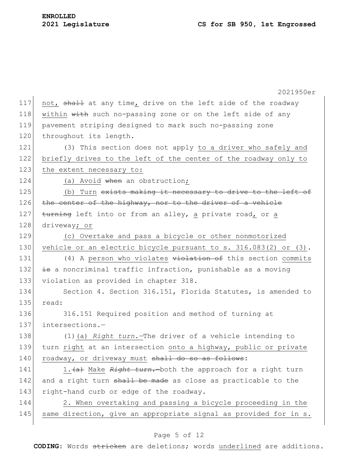|     | 2021950er                                                        |
|-----|------------------------------------------------------------------|
| 117 | not, shall at any time, drive on the left side of the roadway    |
| 118 | within with such no-passing zone or on the left side of any      |
| 119 | pavement striping designed to mark such no-passing zone          |
| 120 | throughout its length.                                           |
| 121 | (3) This section does not apply to a driver who safely and       |
| 122 | briefly drives to the left of the center of the roadway only to  |
| 123 | the extent necessary to:                                         |
| 124 | (a) Avoid when an obstruction;                                   |
| 125 | (b) Turn exists making it necessary to drive to the left of      |
| 126 | the center of the highway, nor to the driver of a vehicle        |
| 127 | turning left into or from an alley, a private road, or a         |
| 128 | driveway; or                                                     |
| 129 | (c) Overtake and pass a bicycle or other nonmotorized            |
| 130 | vehicle or an electric bicycle pursuant to s. 316.083(2) or (3). |
| 131 | (4) A person who violates violation of this section commits      |
| 132 | is a noncriminal traffic infraction, punishable as a moving      |
| 133 | violation as provided in chapter 318.                            |
| 134 | Section 4. Section 316.151, Florida Statutes, is amended to      |
| 135 | read:                                                            |
| 136 | 316.151 Required position and method of turning at               |
| 137 | intersections.-                                                  |
| 138 | (1) (a) Right turn. The driver of a vehicle intending to         |
| 139 | turn right at an intersection onto a highway, public or private  |
| 140 | roadway, or driveway must shall do so as follows:                |
| 141 | 1. (a) Make Right turn. both the approach for a right turn       |
| 142 | and a right turn shall be made as close as practicable to the    |
| 143 | right-hand curb or edge of the roadway.                          |
| 144 | 2. When overtaking and passing a bicycle proceeding in the       |
| 145 | same direction, give an appropriate signal as provided for in s. |
|     |                                                                  |

# Page 5 of 12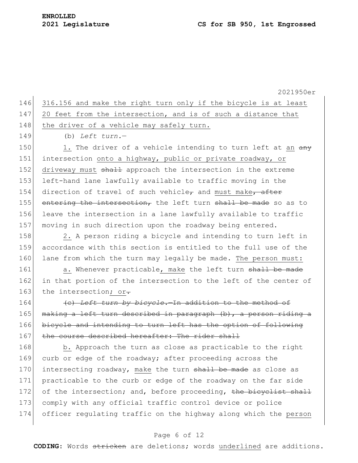| 146 316.156 and make the right turn only if the bicycle is at least |
|---------------------------------------------------------------------|
| 147 20 feet from the intersection, and is of such a distance that   |
| 148 the driver of a vehicle may safely turn.                        |

149 (b) *Left turn.*—

150 1. The driver of a vehicle intending to turn left at an  $\frac{a_n}{b_n}$ 151 intersection onto a highway, public or private roadway, or 152 driveway must shall approach the intersection in the extreme 153 left-hand lane lawfully available to traffic moving in the 154 direction of travel of such vehicle<sub> $\tau$ </sub> and must make, after 155 entering the intersection, the left turn shall be made so as to 156 leave the intersection in a lane lawfully available to traffic 157 moving in such direction upon the roadway being entered.

158 2. A person riding a bicycle and intending to turn left in 159 accordance with this section is entitled to the full use of the 160 lane from which the turn may legally be made. The person must:

161 a. Whenever practicable, make the left turn shall be made 162 in that portion of the intersection to the left of the center of 163 the intersection; or-

164 (c) *Left turn by bicycle.*—In addition to the method of 165 making a left turn described in paragraph (b), a person riding a 166 bicycle and intending to turn left has the option of following 167 the course described hereafter: The rider shall

168 b. Approach the turn as close as practicable to the right 169 curb or edge of the roadway; after proceeding across the 170 intersecting roadway, make the turn shall be made as close as 171 practicable to the curb or edge of the roadway on the far side 172 of the intersection; and, before proceeding, the bicyclist shall 173 comply with any official traffic control device or police 174 officer regulating traffic on the highway along which the person

#### Page 6 of 12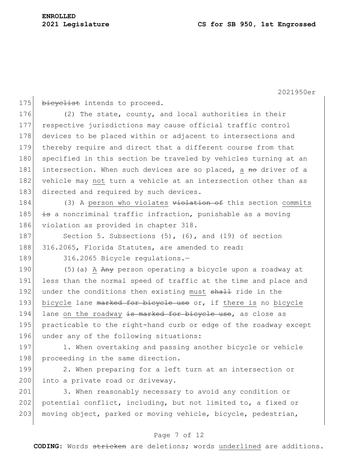175 bicyclist intends to proceed.

176 (2) The state, county, and local authorities in their 177 respective jurisdictions may cause official traffic control 178 devices to be placed within or adjacent to intersections and 179 thereby require and direct that a different course from that 180 specified in this section be traveled by vehicles turning at an 181 intersection. When such devices are so placed, a no driver of a 182 vehicle may not turn a vehicle at an intersection other than as 183 directed and required by such devices.

184  $(3)$  A person who violates  $v$ iolation of this section commits 185  $\frac{1}{18}$  a noncriminal traffic infraction, punishable as a moving 186 violation as provided in chapter 318.

187 Section 5. Subsections (5), (6), and (19) of section 188 316.2065, Florida Statutes, are amended to read:

189 316.2065 Bicycle regulations.-

190  $(5)$  (a) A  $\overline{Any}$  person operating a bicycle upon a roadway at 191 less than the normal speed of traffic at the time and place and 192 under the conditions then existing must shall ride in the 193 bicycle lane marked for bicycle use or, if there is no bicycle 194 lane on the roadway is marked for bicycle use, as close as 195 practicable to the right-hand curb or edge of the roadway except 196 under any of the following situations:

197 1. When overtaking and passing another bicycle or vehicle 198 proceeding in the same direction.

199 2. When preparing for a left turn at an intersection or 200 into a private road or driveway.

201 3. When reasonably necessary to avoid any condition or 202 potential conflict, including, but not limited to, a fixed or 203 moving object, parked or moving vehicle, bicycle, pedestrian,

### Page 7 of 12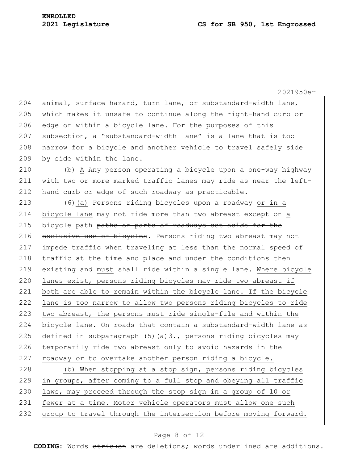204 animal, surface hazard, turn lane, or substandard-width lane, 205 which makes it unsafe to continue along the right-hand curb or 206 edge or within a bicycle lane. For the purposes of this 207 subsection, a "substandard-width lane" is a lane that is too 208 | narrow for a bicycle and another vehicle to travel safely side 209 by side within the lane. 210 (b) A Any person operating a bicycle upon a one-way highway 211 with two or more marked traffic lanes may ride as near the left-212 hand curb or edge of such roadway as practicable. 213 (6)(a) Persons riding bicycles upon a roadway or in a 214 bicycle lane may not ride more than two abreast except on a 215 bicycle path paths or parts of roadways set aside for the 216 exclusive use of bicycles. Persons riding two abreast may not 217 impede traffic when traveling at less than the normal speed of 218 traffic at the time and place and under the conditions then 219 existing and must shall ride within a single lane. Where bicycle 220 lanes exist, persons riding bicycles may ride two abreast if 221 both are able to remain within the bicycle lane. If the bicycle 222 lane is too narrow to allow two persons riding bicycles to ride 223 two abreast, the persons must ride single-file and within the 224 bicycle lane. On roads that contain a substandard-width lane as 225 defined in subparagraph  $(5)$  (a)3., persons riding bicycles may 226 temporarily ride two abreast only to avoid hazards in the 227 roadway or to overtake another person riding a bicycle.

228 (b) When stopping at a stop sign, persons riding bicycles 229 in groups, after coming to a full stop and obeying all traffic 230 laws, may proceed through the stop sign in a group of 10 or 231 fewer at a time. Motor vehicle operators must allow one such 232 group to travel through the intersection before moving forward.

#### Page 8 of 12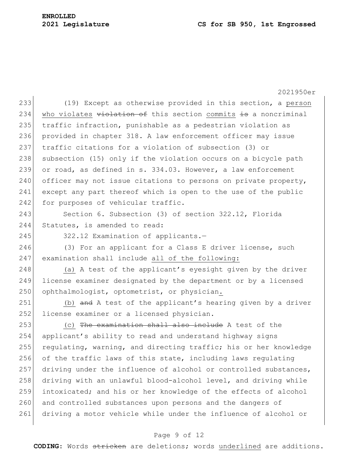#### **2021 Legislature CS for SB 950, 1st Engrossed**

2021950er 233 (19) Except as otherwise provided in this section, a person 234 who violates  $v$ iolation of this section commits is a noncriminal 235 traffic infraction, punishable as a pedestrian violation as 236 provided in chapter 318. A law enforcement officer may issue 237 traffic citations for a violation of subsection (3) or 238 subsection (15) only if the violation occurs on a bicycle path 239 or road, as defined in s. 334.03. However, a law enforcement  $240$  officer may not issue citations to persons on private property, 241 except any part thereof which is open to the use of the public 242 for purposes of vehicular traffic.

243 Section 6. Subsection (3) of section 322.12, Florida 244 Statutes, is amended to read:

245 322.12 Examination of applicants.-

246 (3) For an applicant for a Class E driver license, such 247 examination shall include all of the following:

248 (a) A test of the applicant's eyesight given by the driver 249 license examiner designated by the department or by a licensed 250 ophthalmologist, optometrist, or physician.

251 (b) and A test of the applicant's hearing given by a driver 252 license examiner or a licensed physician.

 $253$  (c) The examination shall also include A test of the 254 applicant's ability to read and understand highway signs 255 regulating, warning, and directing traffic; his or her knowledge 256 of the traffic laws of this state, including laws regulating 257 driving under the influence of alcohol or controlled substances, 258 driving with an unlawful blood-alcohol level, and driving while 259 intoxicated; and his or her knowledge of the effects of alcohol 260 and controlled substances upon persons and the dangers of 261 driving a motor vehicle while under the influence of alcohol or

#### Page 9 of 12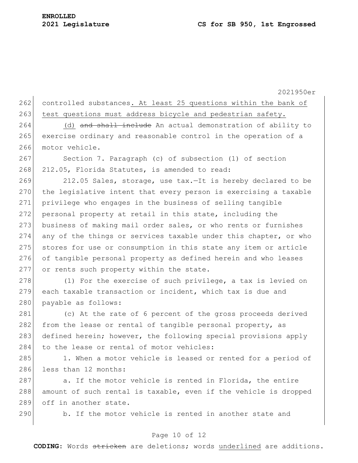262 controlled substances. At least 25 questions within the bank of 263 test questions must address bicycle and pedestrian safety.

264 (d) and shall include An actual demonstration of ability to 265 exercise ordinary and reasonable control in the operation of a 266 motor vehicle.

267 Section 7. Paragraph (c) of subsection (1) of section 268 212.05, Florida Statutes, is amended to read:

269 212.05 Sales, storage, use tax.—It is hereby declared to be 270 the legislative intent that every person is exercising a taxable 271 privilege who engages in the business of selling tangible 272 personal property at retail in this state, including the 273 business of making mail order sales, or who rents or furnishes 274 any of the things or services taxable under this chapter, or who 275 stores for use or consumption in this state any item or article 276 of tangible personal property as defined herein and who leases 277 or rents such property within the state.

278 (1) For the exercise of such privilege, a tax is levied on 279 each taxable transaction or incident, which tax is due and 280 payable as follows:

281 (c) At the rate of 6 percent of the gross proceeds derived 282 from the lease or rental of tangible personal property, as 283 defined herein; however, the following special provisions apply 284 to the lease or rental of motor vehicles:

285 1. When a motor vehicle is leased or rented for a period of 286 less than 12 months:

287 a. If the motor vehicle is rented in Florida, the entire 288 amount of such rental is taxable, even if the vehicle is dropped 289 off in another state.

290 b. If the motor vehicle is rented in another state and

### Page 10 of 12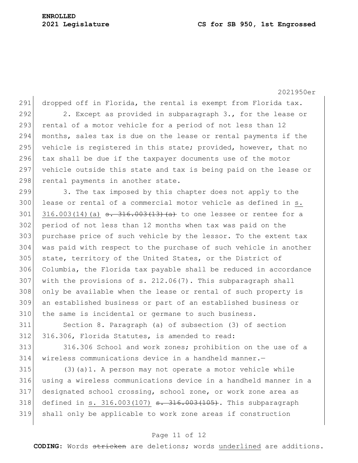291 dropped off in Florida, the rental is exempt from Florida tax. 292 2. Except as provided in subparagraph 3., for the lease or 293 rental of a motor vehicle for a period of not less than 12 294 months, sales tax is due on the lease or rental payments if the 295 vehicle is registered in this state; provided, however, that no 296 tax shall be due if the taxpayer documents use of the motor 297 vehicle outside this state and tax is being paid on the lease or 298 rental payments in another state. 299 3. The tax imposed by this chapter does not apply to the 300 lease or rental of a commercial motor vehicle as defined in s. 301 316.003(14)(a)  $\frac{1}{13}$   $\frac{1}{6}$   $\frac{13}{13}$   $\frac{1}{2}$  to one lessee or rentee for a 302 period of not less than 12 months when tax was paid on the 303 purchase price of such vehicle by the lessor. To the extent tax 304 was paid with respect to the purchase of such vehicle in another 305 state, territory of the United States, or the District of 306 Columbia, the Florida tax payable shall be reduced in accordance 307 with the provisions of s.  $212.06(7)$ . This subparagraph shall 308 only be available when the lease or rental of such property is 309 an established business or part of an established business or

311 Section 8. Paragraph (a) of subsection (3) of section 312 316.306, Florida Statutes, is amended to read:

310 the same is incidental or germane to such business.

313 316.306 School and work zones; prohibition on the use of a 314 wireless communications device in a handheld manner.—

315 (3)(a)1. A person may not operate a motor vehicle while 316 using a wireless communications device in a handheld manner in a 317 designated school crossing, school zone, or work zone area as 318 defined in s. 316.003(107) <del>s. 316.003(105)</del>. This subparagraph 319 shall only be applicable to work zone areas if construction

#### Page 11 of 12